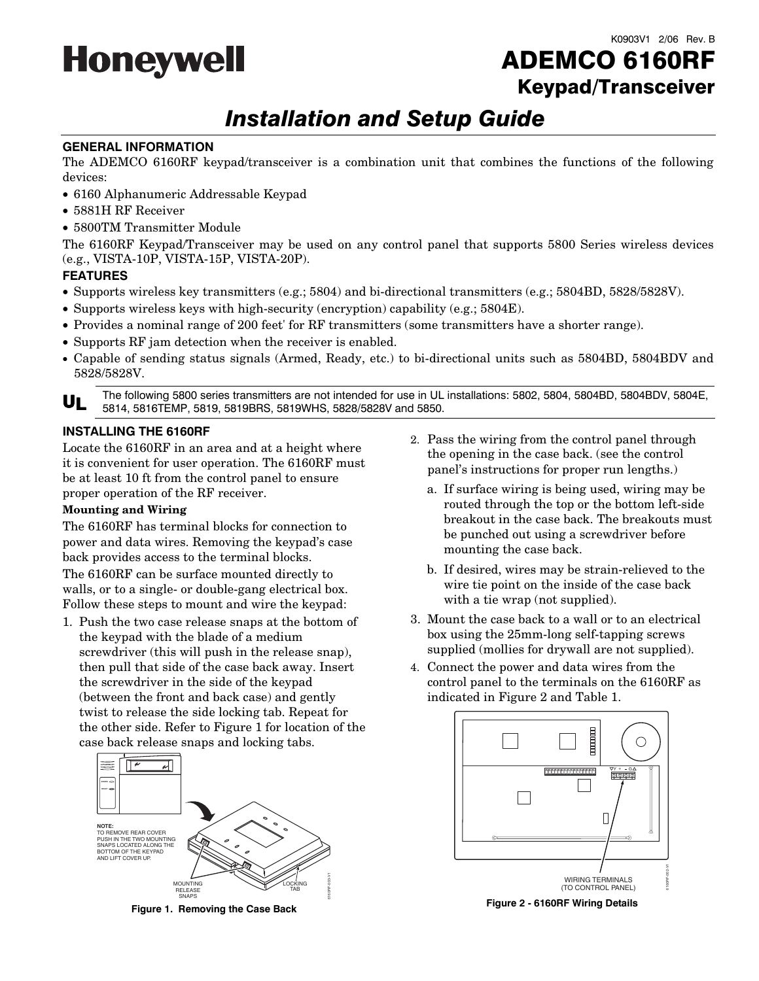

# ADEMCO 6160RF Keypad/Transceiver

# *Installation and Setup Guide*

#### **GENERAL INFORMATION**

The ADEMCO 6160RF keypad/transceiver is a combination unit that combines the functions of the following devices:

- 6160 Alphanumeric Addressable Keypad
- 5881H RF Receiver
- 5800TM Transmitter Module

The 6160RF Keypad/Transceiver may be used on any control panel that supports 5800 Series wireless devices (e.g., VISTA-10P, VISTA-15P, VISTA-20P).

## **FEATURES**

- Supports wireless key transmitters (e.g.; 5804) and bi-directional transmitters (e.g.; 5804BD, 5828/5828V).
- Supports wireless keys with high-security (encryption) capability (e.g.; 5804E).
- Provides a nominal range of 200 feet' for RF transmitters (some transmitters have a shorter range).
- Supports RF jam detection when the receiver is enabled.
- Capable of sending status signals (Armed, Ready, etc.) to bi-directional units such as 5804BD, 5804BDV and 5828/5828V.

UL The following 5800 series transmitters are not intended for use in UL installations: 5802, 5804, 5804BD, 5804BDV, 5804E,<br>
ULL 5814 5816TEMP 5810 5810RDS 5810WHS 5808/5808V and 5850 5814, 5816TEMP, 5819, 5819BRS, 5819WHS, 5828/5828V and 5850.

#### **INSTALLING THE 6160RF**

Locate the 6160RF in an area and at a height where it is convenient for user operation. The 6160RF must be at least 10 ft from the control panel to ensure proper operation of the RF receiver.

## **Mounting and Wiring**

The 6160RF has terminal blocks for connection to power and data wires. Removing the keypad's case back provides access to the terminal blocks.

The 6160RF can be surface mounted directly to walls, or to a single- or double-gang electrical box. Follow these steps to mount and wire the keypad:

1. Push the two case release snaps at the bottom of the keypad with the blade of a medium screwdriver (this will push in the release snap), then pull that side of the case back away. Insert the screwdriver in the side of the keypad (between the front and back case) and gently twist to release the side locking tab. Repeat for the other side. Refer to Figure 1 for location of the case back release snaps and locking tabs.



**Figure 1. Removing the Case Back**

- 2. Pass the wiring from the control panel through the opening in the case back. (see the control panel's instructions for proper run lengths.)
	- a. If surface wiring is being used, wiring may be routed through the top or the bottom left-side breakout in the case back. The breakouts must be punched out using a screwdriver before mounting the case back.
	- b. If desired, wires may be strain-relieved to the wire tie point on the inside of the case back with a tie wrap (not supplied).
- 3. Mount the case back to a wall or to an electrical box using the 25mm-long self-tapping screws supplied (mollies for drywall are not supplied).
- 4. Connect the power and data wires from the control panel to the terminals on the 6160RF as indicated in Figure 2 and Table 1.



**Figure 2 - 6160RF Wiring Details**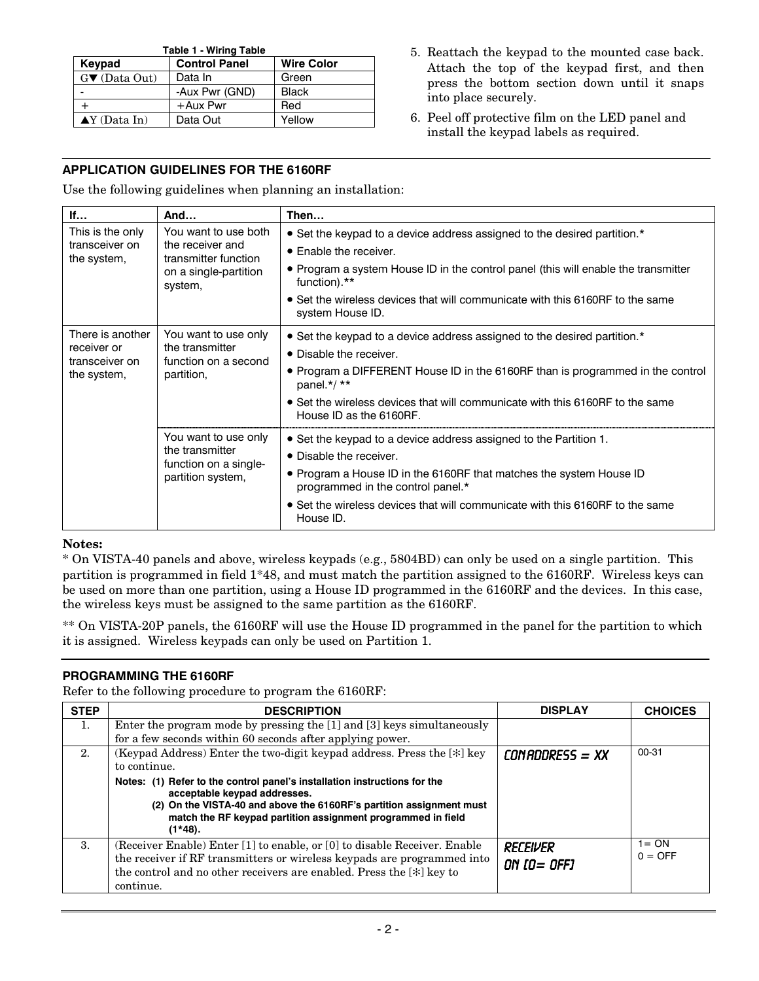| <b>Table 1 - Wiring Table</b>                       |                |              |  |  |
|-----------------------------------------------------|----------------|--------------|--|--|
| <b>Wire Color</b><br><b>Control Panel</b><br>Keypad |                |              |  |  |
| $G \blacktriangledown$ (Data Out)                   | Data In        | Green        |  |  |
|                                                     | -Aux Pwr (GND) | <b>Black</b> |  |  |
|                                                     | +Aux Pwr       | Red          |  |  |
| $\blacktriangle$ Y (Data In)                        | Data Out       | Yellow       |  |  |

- 5. Reattach the keypad to the mounted case back. Attach the top of the keypad first, and then press the bottom section down until it snaps into place securely.
- 6. Peel off protective film on the LED panel and install the keypad labels as required.

# **APPLICATION GUIDELINES FOR THE 6160RF**

Use the following guidelines when planning an installation:

| If                                       | And                                                                                   | Then                                                                                                     |
|------------------------------------------|---------------------------------------------------------------------------------------|----------------------------------------------------------------------------------------------------------|
| You want to use both<br>This is the only |                                                                                       | • Set the keypad to a device address assigned to the desired partition.*                                 |
| transceiver on<br>the system,            | the receiver and<br>transmitter function                                              | • Enable the receiver.                                                                                   |
| on a single-partition<br>system,         |                                                                                       | • Program a system House ID in the control panel (this will enable the transmitter<br>function).**       |
|                                          |                                                                                       | • Set the wireless devices that will communicate with this 6160RF to the same<br>system House ID.        |
| There is another                         | You want to use only                                                                  | • Set the keypad to a device address assigned to the desired partition.*                                 |
| receiver or<br>transceiver on            | the transmitter<br>function on a second<br>partition,                                 | • Disable the receiver.                                                                                  |
| the system,                              |                                                                                       | • Program a DIFFERENT House ID in the 6160RF than is programmed in the control<br>panel. $*/**$          |
|                                          |                                                                                       | • Set the wireless devices that will communicate with this 6160RF to the same<br>House ID as the 6160RF. |
|                                          | You want to use only<br>the transmitter<br>function on a single-<br>partition system, | • Set the keypad to a device address assigned to the Partition 1.                                        |
|                                          |                                                                                       | • Disable the receiver.                                                                                  |
|                                          |                                                                                       | • Program a House ID in the 6160RF that matches the system House ID<br>programmed in the control panel.* |
|                                          |                                                                                       | • Set the wireless devices that will communicate with this 6160RF to the same<br>House ID.               |

# **Notes:**

\* On VISTA-40 panels and above, wireless keypads (e.g., 5804BD) can only be used on a single partition. This partition is programmed in field 1\*48, and must match the partition assigned to the 6160RF. Wireless keys can be used on more than one partition, using a House ID programmed in the 6160RF and the devices. In this case, the wireless keys must be assigned to the same partition as the 6160RF.

\*\* On VISTA-20P panels, the 6160RF will use the House ID programmed in the panel for the partition to which it is assigned. Wireless keypads can only be used on Partition 1.

# **PROGRAMMING THE 6160RF**

Refer to the following procedure to program the 6160RF:

| <b>STEP</b> | <b>DESCRIPTION</b>                                                                                                                                                                                                                                             | <b>DISPLAY</b>            | <b>CHOICES</b>        |
|-------------|----------------------------------------------------------------------------------------------------------------------------------------------------------------------------------------------------------------------------------------------------------------|---------------------------|-----------------------|
| 1.          | Enter the program mode by pressing the [1] and [3] keys simultaneously                                                                                                                                                                                         |                           |                       |
|             | for a few seconds within 60 seconds after applying power.                                                                                                                                                                                                      |                           |                       |
| 2.          | (Keypad Address) Enter the two-digit keypad address. Press the [*] key<br>to continue.                                                                                                                                                                         | $COMBDBRES = XX$          | $00 - 31$             |
|             | Notes: (1) Refer to the control panel's installation instructions for the<br>acceptable keypad addresses.<br>(2) On the VISTA-40 and above the 6160RF's partition assignment must<br>match the RF keypad partition assignment programmed in field<br>$(1*48).$ |                           |                       |
| 3.          | (Receiver Enable) Enter [1] to enable, or [0] to disable Receiver. Enable<br>the receiver if RF transmitters or wireless keypads are programmed into<br>the control and no other receivers are enabled. Press the [*] key to<br>continue.                      | RECEIVER<br>ON $IO = OFF$ | $1 = ON$<br>$0 =$ OFF |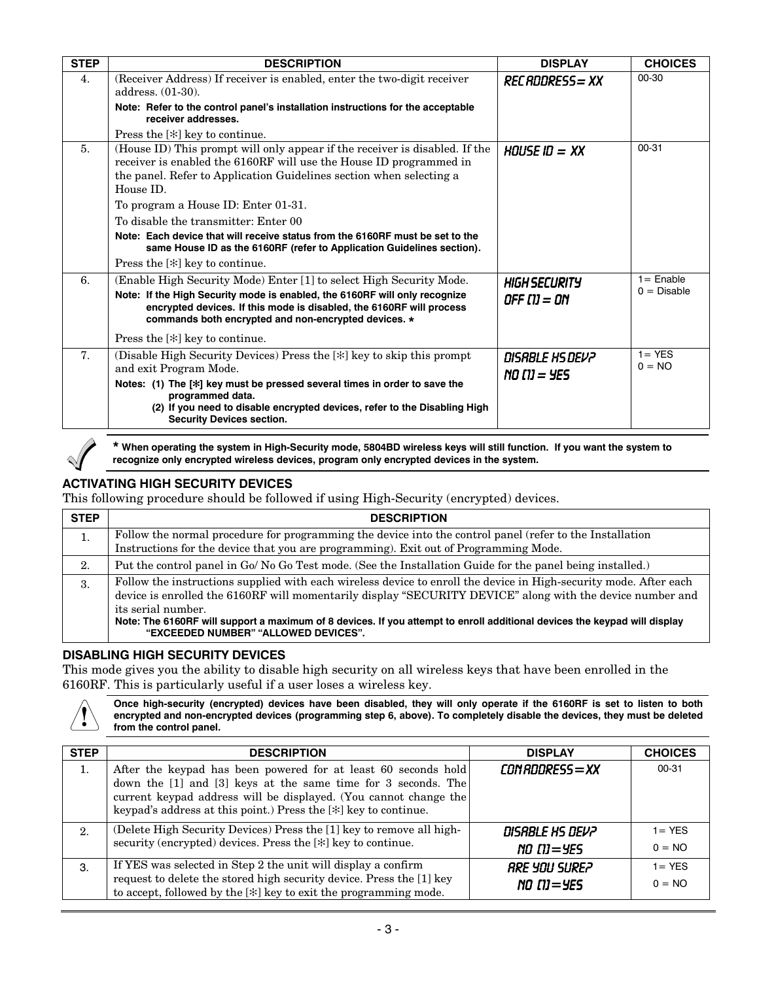| <b>STEP</b>    | <b>DESCRIPTION</b>                                                                                                                                                                                                                    | <b>DISPLAY</b>                     | <b>CHOICES</b>        |
|----------------|---------------------------------------------------------------------------------------------------------------------------------------------------------------------------------------------------------------------------------------|------------------------------------|-----------------------|
| 4.             | (Receiver Address) If receiver is enabled, enter the two-digit receiver<br>address. (01-30).<br>Note: Refer to the control panel's installation instructions for the acceptable                                                       | REC ADDRESS = XX                   | 00-30                 |
|                | receiver addresses.                                                                                                                                                                                                                   |                                    |                       |
|                | Press the [*] key to continue.                                                                                                                                                                                                        |                                    |                       |
| 5 <sub>1</sub> | (House ID) This prompt will only appear if the receiver is disabled. If the<br>receiver is enabled the 6160RF will use the House ID programmed in<br>the panel. Refer to Application Guidelines section when selecting a<br>House ID. | HOUSE ID = $XX$                    | 00-31                 |
|                | To program a House ID: Enter 01-31.                                                                                                                                                                                                   |                                    |                       |
|                | To disable the transmitter: Enter 00                                                                                                                                                                                                  |                                    |                       |
|                | Note: Each device that will receive status from the 6160RF must be set to the<br>same House ID as the 6160RF (refer to Application Guidelines section).                                                                               |                                    |                       |
|                | Press the [*] key to continue.                                                                                                                                                                                                        |                                    |                       |
| 6.             | (Enable High Security Mode) Enter [1] to select High Security Mode.                                                                                                                                                                   | <b>HIGH SECURITY</b>               | $1 =$ Enable          |
|                | Note: If the High Security mode is enabled, the 6160RF will only recognize<br>encrypted devices. If this mode is disabled, the 6160RF will process<br>commands both encrypted and non-encrypted devices. *                            | OFF [1] = ON                       | $0 = Disable$         |
|                | Press the [*] key to continue.                                                                                                                                                                                                        |                                    |                       |
| 7 <sub>1</sub> | (Disable High Security Devices) Press the [*] key to skip this prompt<br>and exit Program Mode.<br>Notes: (1) The [*] key must be pressed several times in order to save the<br>programmed data.                                      | DISABLE HS DEV?<br>$NO$ $IU = 4ES$ | $1 = YES$<br>$0 = NO$ |
|                | (2) If you need to disable encrypted devices, refer to the Disabling High<br><b>Security Devices section.</b>                                                                                                                         |                                    |                       |



**\* When operating the system in High-Security mode, 5804BD wireless keys will still function. If you want the system to recognize only encrypted wireless devices, program only encrypted devices in the system.** 

# **ACTIVATING HIGH SECURITY DEVICES**

This following procedure should be followed if using High-Security (encrypted) devices.

| <b>STEP</b> | <b>DESCRIPTION</b>                                                                                                                                                                                                                                                                                                                                                                                                        |
|-------------|---------------------------------------------------------------------------------------------------------------------------------------------------------------------------------------------------------------------------------------------------------------------------------------------------------------------------------------------------------------------------------------------------------------------------|
| 1.          | Follow the normal procedure for programming the device into the control panel (refer to the Installation<br>Instructions for the device that you are programming). Exit out of Programming Mode.                                                                                                                                                                                                                          |
| 2.          | Put the control panel in Go/No Go Test mode. (See the Installation Guide for the panel being installed.)                                                                                                                                                                                                                                                                                                                  |
| 3.          | Follow the instructions supplied with each wireless device to enroll the device in High-security mode. After each<br>device is enrolled the 6160RF will momentarily display "SECURITY DEVICE" along with the device number and<br>its serial number.<br>Note: The 6160RF will support a maximum of 8 devices. If you attempt to enroll additional devices the keypad will display<br>"EXCEEDED NUMBER" "ALLOWED DEVICES". |

# **DISABLING HIGH SECURITY DEVICES**

This mode gives you the ability to disable high security on all wireless keys that have been enrolled in the 6160RF. This is particularly useful if a user loses a wireless key.

Once high-security (encrypted) devices have been disabled, they will only operate if the 6160RF is set to listen to both<br>encrypted and non-encrypted devices (programming step 6, above). To completely disable the devices, t **from the control panel.** 

| <b>STEP</b> | <b>DESCRIPTION</b>                                                                                                                                                                                                                                                     | <b>DISPLAY</b>                          | <b>CHOICES</b>        |
|-------------|------------------------------------------------------------------------------------------------------------------------------------------------------------------------------------------------------------------------------------------------------------------------|-----------------------------------------|-----------------------|
| 1.          | After the keypad has been powered for at least 60 seconds hold<br>down the [1] and [3] keys at the same time for 3 seconds. The<br>current keypad address will be displayed. (You cannot change the<br>keypad's address at this point.) Press the [*] key to continue. | CON RODRESS = XX                        | $00 - 31$             |
| 2.          | (Delete High Security Devices) Press the [1] key to remove all high-<br>security (encrypted) devices. Press the [*] key to continue.                                                                                                                                   | DISABLE HS DEV2<br>$NO$ $IU=$ 4ES       | $1 = YES$<br>$0 = NO$ |
| 3.          | If YES was selected in Step 2 the unit will display a confirm<br>request to delete the stored high security device. Press the [1] key<br>to accept, followed by the [*] key to exit the programming mode.                                                              | <b>ARE YOU SUREP</b><br>$NO$ $IU = 4ES$ | $1 = YES$<br>$0 = NO$ |